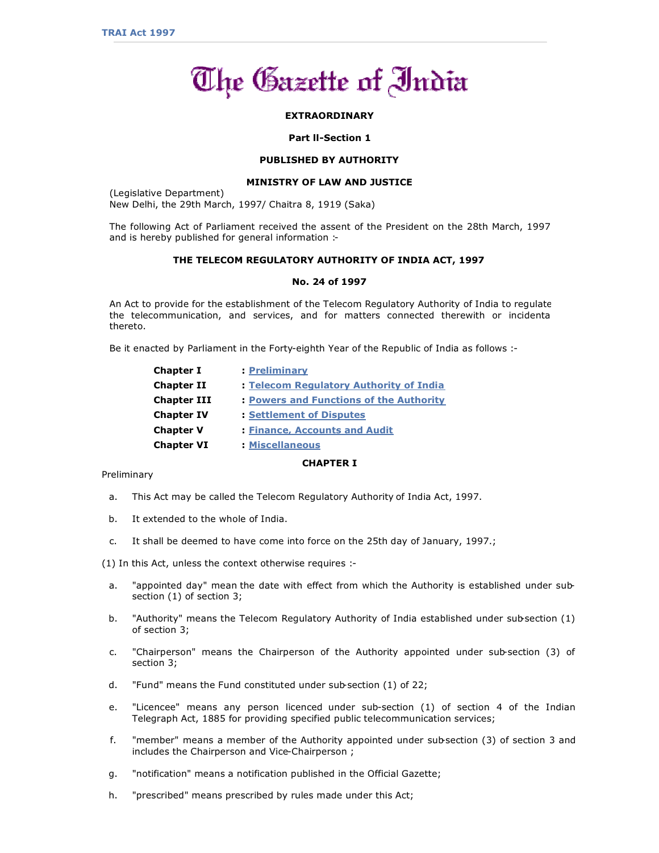# The Gazette of India

#### **EXTRAORDINARY**

#### **Part II-Section 1**

### **PUBLISHED BY AUTHORITY**

#### **MINISTRY OF LAW AND JUSTICE**

(Legislative Department) New Delhi, the 29th March, 1997/ Chaitra 8, 1919 (Saka)

The following Act of Parliament received the assent of the President on the 28th March, 1997 and is hereby published for general information :-

# THE TELECOM REGULATORY AUTHORITY OF INDIA ACT, 1997

#### No. 24 of 1997

An Act to provide for the establishment of the Telecom Regulatory Authority of India to regulate the telecommunication, and services, and for matters connected therewith or incidenta thereto.

**CHAPTER I** 

Be it enacted by Parliament in the Forty-eighth Year of the Republic of India as follows :-

| Chapter I          | <b>Preliminary</b>                      |
|--------------------|-----------------------------------------|
| <b>Chapter II</b>  | : Telecom Regulatory Authority of India |
| <b>Chapter III</b> | : Powers and Functions of the Authority |
| <b>Chapter IV</b>  | : Settlement of Disputes                |
| <b>Chapter V</b>   | : Finance, Accounts and Audit           |
| <b>Chapter VI</b>  | : Miscellaneous                         |
|                    |                                         |

#### Preliminary

- This Act may be called the Telecom Regulatory Authority of India Act, 1997. a.
- b. It extended to the whole of India.
- It shall be deemed to have come into force on the 25th day of January, 1997.;  $\mathsf{C}$

(1) In this Act, unless the context otherwise requires :-

- "appointed day" mean the date with effect from which the Authority is established under sub $a.$ section (1) of section 3;
- "Authority" means the Telecom Regulatory Authority of India established under subsection (1) h. of section 3;
- "Chairperson" means the Chairperson of the Authority appointed under sub-section (3) of  $\mathsf{C}$ . section 3;
- $\mathsf{d}$ . "Fund" means the Fund constituted under sub-section (1) of 22;
- "Licencee" means any person licenced under sub-section (1) of section 4 of the Indian e. Telegraph Act, 1885 for providing specified public telecommunication services;
- "member" means a member of the Authority appointed under subsection (3) of section 3 and f. includes the Chairperson and Vice-Chairperson;
- "notification" means a notification published in the Official Gazette; a.
- h. "prescribed" means prescribed by rules made under this Act;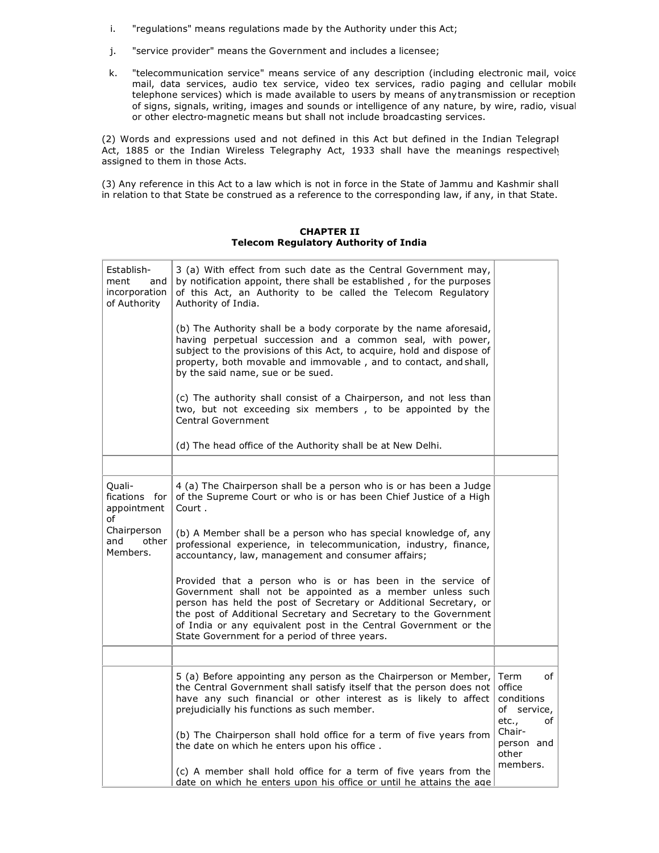- i. "regulations" means regulations made by the Authority under this Act;
- j. "service provider" means the Government and includes a licensee;
- k. "telecommunication service" means service of any description (including electronic mail, voice mail, data services, audio tex service, video tex services, radio paging and cellular mobile telephone services) which is made available to users by means of any transmission or reception of signs, signals, writing, images and sounds or intelligence of any nature, by wire, radio, visual or other electro-magnetic means but shall not include broadcasting services.

(2) Words and expressions used and not defined in this Act but defined in the Indian Telegrapl Act, 1885 or the Indian Wireless Telegraphy Act, 1933 shall have the meanings respectively assigned to them in those Acts.

(3) Any reference in this Act to a law which is not in force in the State of Jammu and Kashmir shall in relation to that State be construed as a reference to the corresponding law, if any, in that State.

| <b>CHAPTER II</b> |                                       |  |  |
|-------------------|---------------------------------------|--|--|
|                   | Telecom Regulatory Authority of India |  |  |

| Establish-<br>ment<br>and<br>incorporation<br>of Authority | 3 (a) With effect from such date as the Central Government may,<br>by notification appoint, there shall be established, for the purposes<br>of this Act, an Authority to be called the Telecom Regulatory<br>Authority of India.                                                                                                                                                       |                                                                  |
|------------------------------------------------------------|----------------------------------------------------------------------------------------------------------------------------------------------------------------------------------------------------------------------------------------------------------------------------------------------------------------------------------------------------------------------------------------|------------------------------------------------------------------|
|                                                            | (b) The Authority shall be a body corporate by the name aforesaid,<br>having perpetual succession and a common seal, with power,<br>subject to the provisions of this Act, to acquire, hold and dispose of<br>property, both movable and immovable, and to contact, and shall,<br>by the said name, sue or be sued.                                                                    |                                                                  |
|                                                            | (c) The authority shall consist of a Chairperson, and not less than<br>two, but not exceeding six members, to be appointed by the<br><b>Central Government</b>                                                                                                                                                                                                                         |                                                                  |
|                                                            | (d) The head office of the Authority shall be at New Delhi.                                                                                                                                                                                                                                                                                                                            |                                                                  |
|                                                            |                                                                                                                                                                                                                                                                                                                                                                                        |                                                                  |
| Quali-<br>fications for<br>appointment<br>of               | 4 (a) The Chairperson shall be a person who is or has been a Judge<br>of the Supreme Court or who is or has been Chief Justice of a High<br>Court.                                                                                                                                                                                                                                     |                                                                  |
| Chairperson<br>other<br>and<br>Members.                    | (b) A Member shall be a person who has special knowledge of, any<br>professional experience, in telecommunication, industry, finance,<br>accountancy, law, management and consumer affairs;                                                                                                                                                                                            |                                                                  |
|                                                            | Provided that a person who is or has been in the service of<br>Government shall not be appointed as a member unless such<br>person has held the post of Secretary or Additional Secretary, or<br>the post of Additional Secretary and Secretary to the Government<br>of India or any equivalent post in the Central Government or the<br>State Government for a period of three years. |                                                                  |
|                                                            |                                                                                                                                                                                                                                                                                                                                                                                        |                                                                  |
|                                                            | 5 (a) Before appointing any person as the Chairperson or Member,<br>the Central Government shall satisfy itself that the person does not<br>have any such financial or other interest as is likely to affect<br>prejudicially his functions as such member.                                                                                                                            | Term<br>of<br>office<br>conditions<br>of service,<br>etc.,<br>of |
|                                                            | (b) The Chairperson shall hold office for a term of five years from<br>the date on which he enters upon his office.                                                                                                                                                                                                                                                                    | Chair-<br>person and<br>other<br>members.                        |
|                                                            | (c) A member shall hold office for a term of five years from the<br>date on which he enters upon his office or until he attains the age                                                                                                                                                                                                                                                |                                                                  |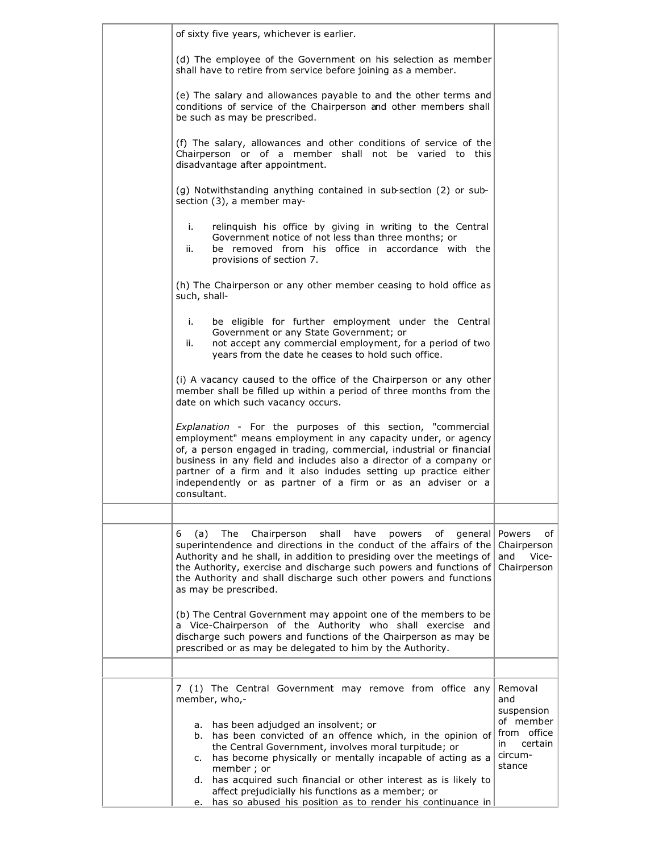| of sixty five years, whichever is earlier.                                                                                                                                                                                                                                                                                                                                                                                   |                                                                |
|------------------------------------------------------------------------------------------------------------------------------------------------------------------------------------------------------------------------------------------------------------------------------------------------------------------------------------------------------------------------------------------------------------------------------|----------------------------------------------------------------|
| (d) The employee of the Government on his selection as member<br>shall have to retire from service before joining as a member.                                                                                                                                                                                                                                                                                               |                                                                |
| (e) The salary and allowances payable to and the other terms and<br>conditions of service of the Chairperson and other members shall<br>be such as may be prescribed.                                                                                                                                                                                                                                                        |                                                                |
| (f) The salary, allowances and other conditions of service of the<br>Chairperson or of a member shall not be varied to this<br>disadvantage after appointment.                                                                                                                                                                                                                                                               |                                                                |
| (g) Notwithstanding anything contained in sub-section (2) or sub-<br>section (3), a member may-                                                                                                                                                                                                                                                                                                                              |                                                                |
| relinquish his office by giving in writing to the Central<br>i.<br>Government notice of not less than three months; or<br>be removed from his office in accordance with the<br>ii.<br>provisions of section 7.                                                                                                                                                                                                               |                                                                |
| (h) The Chairperson or any other member ceasing to hold office as<br>such, shall-                                                                                                                                                                                                                                                                                                                                            |                                                                |
| i.<br>be eligible for further employment under the Central<br>Government or any State Government; or<br>not accept any commercial employment, for a period of two<br>ii.<br>years from the date he ceases to hold such office.                                                                                                                                                                                               |                                                                |
| (i) A vacancy caused to the office of the Chairperson or any other<br>member shall be filled up within a period of three months from the<br>date on which such vacancy occurs.                                                                                                                                                                                                                                               |                                                                |
| Explanation - For the purposes of this section, "commercial<br>employment" means employment in any capacity under, or agency<br>of, a person engaged in trading, commercial, industrial or financial<br>business in any field and includes also a director of a company or<br>partner of a firm and it also indudes setting up practice either<br>independently or as partner of a firm or as an adviser or a<br>consultant. |                                                                |
|                                                                                                                                                                                                                                                                                                                                                                                                                              |                                                                |
| (a)<br>The<br>Chairperson<br>shall<br>have<br>general<br>6<br>powers<br>of<br>superintendence and directions in the conduct of the affairs of the<br>Authority and he shall, in addition to presiding over the meetings of<br>the Authority, exercise and discharge such powers and functions of<br>the Authority and shall discharge such other powers and functions<br>as may be prescribed.                               | Powers<br>of<br>Chairperson<br>and<br>Vice-<br>Chairperson     |
| (b) The Central Government may appoint one of the members to be<br>a Vice-Chairperson of the Authority who shall exercise and<br>discharge such powers and functions of the Chairperson as may be<br>prescribed or as may be delegated to him by the Authority.                                                                                                                                                              |                                                                |
|                                                                                                                                                                                                                                                                                                                                                                                                                              |                                                                |
| 7 (1) The Central Government may remove from office any<br>member, who,-                                                                                                                                                                                                                                                                                                                                                     | Removal<br>and<br>suspension                                   |
| has been adjudged an insolvent; or<br>а.<br>b. has been convicted of an offence which, in the opinion of<br>the Central Government, involves moral turpitude; or<br>has become physically or mentally incapable of acting as a<br>c.<br>member; or<br>has acquired such financial or other interest as is likely to<br>d.                                                                                                    | of member<br>from office<br>certain<br>in<br>circum-<br>stance |
| affect prejudicially his functions as a member; or<br>has so abused his position as to render his continuance in<br>e.                                                                                                                                                                                                                                                                                                       |                                                                |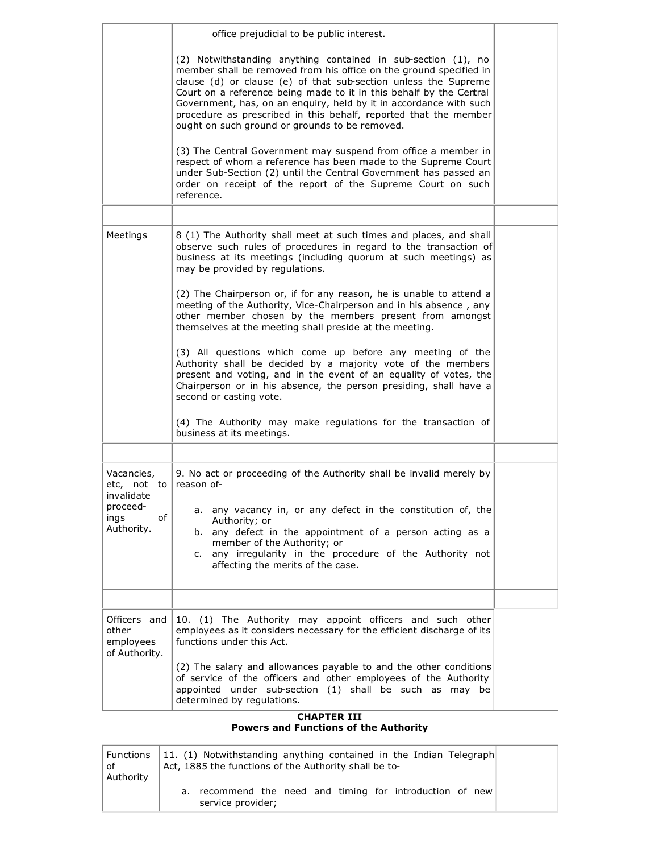|                                                     | office prejudicial to be public interest.                                                                                                                                                                                                                                                                                                                                                                                                                                 |  |
|-----------------------------------------------------|---------------------------------------------------------------------------------------------------------------------------------------------------------------------------------------------------------------------------------------------------------------------------------------------------------------------------------------------------------------------------------------------------------------------------------------------------------------------------|--|
|                                                     | (2) Notwithstanding anything contained in sub-section (1), no<br>member shall be removed from his office on the ground specified in<br>clause (d) or clause (e) of that sub-section unless the Supreme<br>Court on a reference being made to it in this behalf by the Certral<br>Government, has, on an enquiry, held by it in accordance with such<br>procedure as prescribed in this behalf, reported that the member<br>ought on such ground or grounds to be removed. |  |
|                                                     | (3) The Central Government may suspend from office a member in<br>respect of whom a reference has been made to the Supreme Court<br>under Sub-Section (2) until the Central Government has passed an<br>order on receipt of the report of the Supreme Court on such<br>reference.                                                                                                                                                                                         |  |
|                                                     |                                                                                                                                                                                                                                                                                                                                                                                                                                                                           |  |
| Meetings                                            | 8 (1) The Authority shall meet at such times and places, and shall<br>observe such rules of procedures in regard to the transaction of<br>business at its meetings (including quorum at such meetings) as<br>may be provided by regulations.                                                                                                                                                                                                                              |  |
|                                                     | (2) The Chairperson or, if for any reason, he is unable to attend a<br>meeting of the Authority, Vice-Chairperson and in his absence, any<br>other member chosen by the members present from amongst<br>themselves at the meeting shall preside at the meeting.                                                                                                                                                                                                           |  |
|                                                     | (3) All questions which come up before any meeting of the<br>Authority shall be decided by a majority vote of the members<br>present and voting, and in the event of an equality of votes, the<br>Chairperson or in his absence, the person presiding, shall have a<br>second or casting vote.                                                                                                                                                                            |  |
|                                                     | (4) The Authority may make regulations for the transaction of<br>business at its meetings.                                                                                                                                                                                                                                                                                                                                                                                |  |
|                                                     |                                                                                                                                                                                                                                                                                                                                                                                                                                                                           |  |
| Vacancies,<br>etc, not to<br>invalidate             | 9. No act or proceeding of the Authority shall be invalid merely by<br>reason of-                                                                                                                                                                                                                                                                                                                                                                                         |  |
| proceed-<br>ings<br>of<br>Authority.                | any vacancy in, or any defect in the constitution of, the<br>а.<br>Authority; or<br>b. any defect in the appointment of a person acting as a<br>member of the Authority; or<br>any irregularity in the procedure of the Authority not<br>c.<br>affecting the merits of the case.                                                                                                                                                                                          |  |
|                                                     |                                                                                                                                                                                                                                                                                                                                                                                                                                                                           |  |
| Officers and<br>other<br>employees<br>of Authority. | 10. (1) The Authority may appoint officers and such other<br>employees as it considers necessary for the efficient discharge of its<br>functions under this Act.                                                                                                                                                                                                                                                                                                          |  |
|                                                     | (2) The salary and allowances payable to and the other conditions<br>of service of the officers and other employees of the Authority<br>appointed under sub-section (1) shall be such as may be<br>determined by regulations.                                                                                                                                                                                                                                             |  |
|                                                     |                                                                                                                                                                                                                                                                                                                                                                                                                                                                           |  |

**CHAPTER III**<br>Powers and Functions of the Authority

| of        | Functions $\vert$ 11. (1) Notwithstanding anything contained in the Indian Telegraph |
|-----------|--------------------------------------------------------------------------------------|
| Authority | Act, 1885 the functions of the Authority shall be to-                                |
|           | a. recommend the need and timing for introduction of new<br>service provider;        |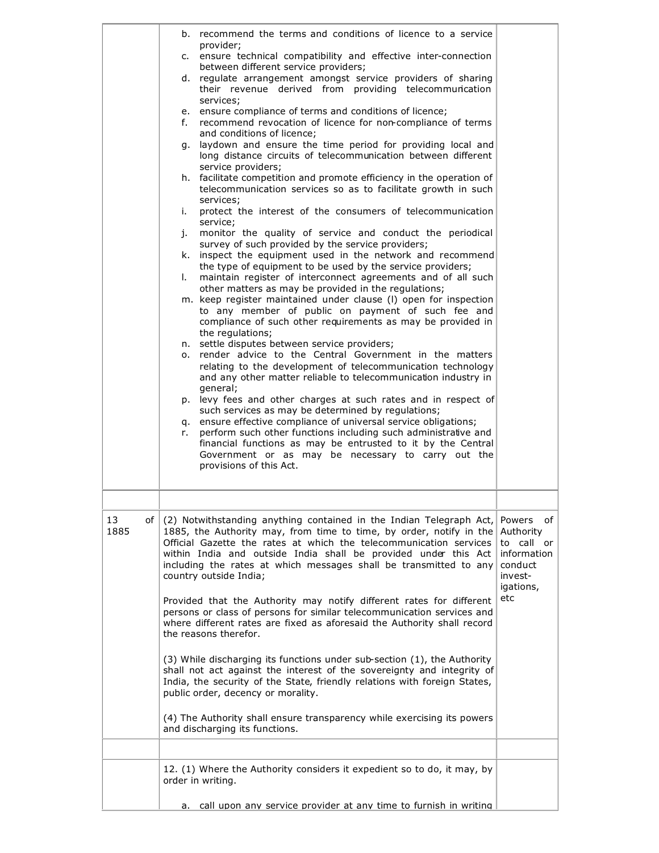|            | b. recommend the terms and conditions of licence to a service<br>provider:<br>c. ensure technical compatibility and effective inter-connection<br>between different service providers;<br>d. regulate arrangement amongst service providers of sharing<br>their revenue derived from providing telecommunication<br>services:<br>e. ensure compliance of terms and conditions of licence;<br>recommend revocation of licence for non-compliance of terms<br>f.<br>and conditions of licence;<br>g. laydown and ensure the time period for providing local and<br>long distance circuits of telecommunication between different<br>service providers:<br>h. facilitate competition and promote efficiency in the operation of<br>telecommunication services so as to facilitate growth in such<br>services;<br>protect the interest of the consumers of telecommunication<br>i.<br>service;<br>monitor the quality of service and conduct the periodical<br>j.<br>survey of such provided by the service providers;<br>k. inspect the equipment used in the network and recommend<br>the type of equipment to be used by the service providers;<br>maintain register of interconnect agreements and of all such<br>I.<br>other matters as may be provided in the regulations;<br>m. keep register maintained under clause (I) open for inspection<br>to any member of public on payment of such fee and<br>compliance of such other requirements as may be provided in<br>the regulations;<br>n. settle disputes between service providers;<br>render advice to the Central Government in the matters<br>0.<br>relating to the development of telecommunication technology<br>and any other matter reliable to telecommunication industry in<br>qeneral;<br>p. levy fees and other charges at such rates and in respect of<br>such services as may be determined by regulations;<br>ensure effective compliance of universal service obligations;<br>q.<br>perform such other functions including such administrative and<br>r.<br>financial functions as may be entrusted to it by the Central<br>Government or as may be necessary to carry out the<br>provisions of this Act. |                                                                                  |
|------------|---------------------------------------------------------------------------------------------------------------------------------------------------------------------------------------------------------------------------------------------------------------------------------------------------------------------------------------------------------------------------------------------------------------------------------------------------------------------------------------------------------------------------------------------------------------------------------------------------------------------------------------------------------------------------------------------------------------------------------------------------------------------------------------------------------------------------------------------------------------------------------------------------------------------------------------------------------------------------------------------------------------------------------------------------------------------------------------------------------------------------------------------------------------------------------------------------------------------------------------------------------------------------------------------------------------------------------------------------------------------------------------------------------------------------------------------------------------------------------------------------------------------------------------------------------------------------------------------------------------------------------------------------------------------------------------------------------------------------------------------------------------------------------------------------------------------------------------------------------------------------------------------------------------------------------------------------------------------------------------------------------------------------------------------------------------------------------------------------------------------------------------------------------------------------------|----------------------------------------------------------------------------------|
| 13<br>of l | (2) Notwithstanding anything contained in the Indian Telegraph Act, Powers of                                                                                                                                                                                                                                                                                                                                                                                                                                                                                                                                                                                                                                                                                                                                                                                                                                                                                                                                                                                                                                                                                                                                                                                                                                                                                                                                                                                                                                                                                                                                                                                                                                                                                                                                                                                                                                                                                                                                                                                                                                                                                                   |                                                                                  |
| 1885       | 1885, the Authority may, from time to time, by order, notify in the<br>Official Gazette the rates at which the telecommunication services<br>within India and outside India shall be provided under this Act<br>including the rates at which messages shall be transmitted to any<br>country outside India;<br>Provided that the Authority may notify different rates for different<br>persons or class of persons for similar telecommunication services and<br>where different rates are fixed as aforesaid the Authority shall record<br>the reasons therefor.<br>(3) While discharging its functions under sub-section (1), the Authority<br>shall not act against the interest of the sovereignty and integrity of<br>India, the security of the State, friendly relations with foreign States,<br>public order, decency or morality.<br>(4) The Authority shall ensure transparency while exercising its powers<br>and discharging its functions.                                                                                                                                                                                                                                                                                                                                                                                                                                                                                                                                                                                                                                                                                                                                                                                                                                                                                                                                                                                                                                                                                                                                                                                                                         | Authority<br>to call or<br>information<br>conduct<br>invest-<br>igations,<br>etc |
|            |                                                                                                                                                                                                                                                                                                                                                                                                                                                                                                                                                                                                                                                                                                                                                                                                                                                                                                                                                                                                                                                                                                                                                                                                                                                                                                                                                                                                                                                                                                                                                                                                                                                                                                                                                                                                                                                                                                                                                                                                                                                                                                                                                                                 |                                                                                  |
|            | 12. (1) Where the Authority considers it expedient so to do, it may, by<br>order in writing.                                                                                                                                                                                                                                                                                                                                                                                                                                                                                                                                                                                                                                                                                                                                                                                                                                                                                                                                                                                                                                                                                                                                                                                                                                                                                                                                                                                                                                                                                                                                                                                                                                                                                                                                                                                                                                                                                                                                                                                                                                                                                    |                                                                                  |
|            | call upon any service provider at any time to furnish in writing<br>а.                                                                                                                                                                                                                                                                                                                                                                                                                                                                                                                                                                                                                                                                                                                                                                                                                                                                                                                                                                                                                                                                                                                                                                                                                                                                                                                                                                                                                                                                                                                                                                                                                                                                                                                                                                                                                                                                                                                                                                                                                                                                                                          |                                                                                  |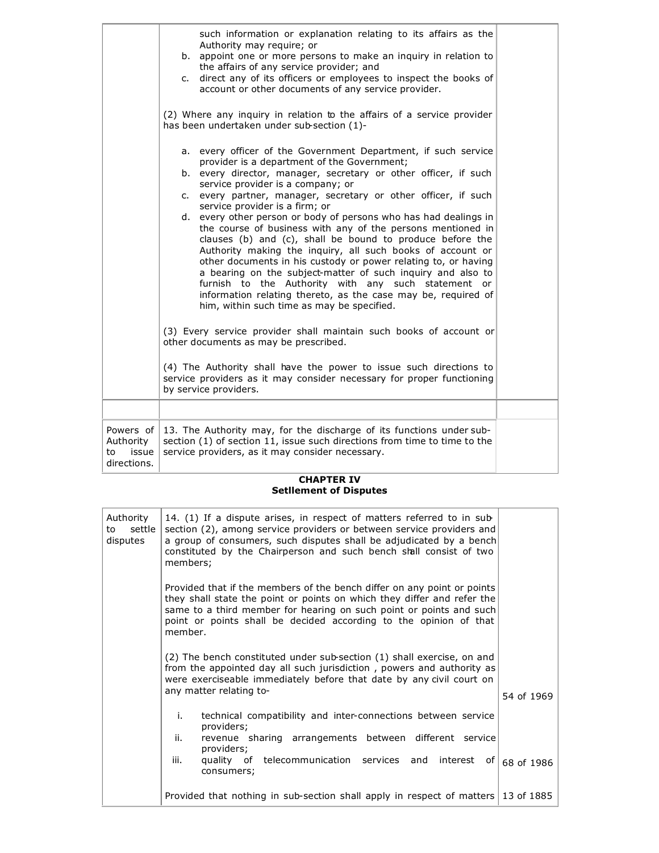|                                                          | such information or explanation relating to its affairs as the<br>Authority may require; or<br>b. appoint one or more persons to make an inquiry in relation to<br>the affairs of any service provider; and<br>c. direct any of its officers or employees to inspect the books of<br>account or other documents of any service provider.                                                                                                                                                                                                                                                                                                                                                                                                                                                                                                                                                       |  |
|----------------------------------------------------------|------------------------------------------------------------------------------------------------------------------------------------------------------------------------------------------------------------------------------------------------------------------------------------------------------------------------------------------------------------------------------------------------------------------------------------------------------------------------------------------------------------------------------------------------------------------------------------------------------------------------------------------------------------------------------------------------------------------------------------------------------------------------------------------------------------------------------------------------------------------------------------------------|--|
|                                                          | (2) Where any inquiry in relation to the affairs of a service provider<br>has been undertaken under sub-section (1)-                                                                                                                                                                                                                                                                                                                                                                                                                                                                                                                                                                                                                                                                                                                                                                           |  |
|                                                          | a. every officer of the Government Department, if such service<br>provider is a department of the Government;<br>b. every director, manager, secretary or other officer, if such<br>service provider is a company; or<br>c. every partner, manager, secretary or other officer, if such<br>service provider is a firm; or<br>d. every other person or body of persons who has had dealings in<br>the course of business with any of the persons mentioned in<br>clauses (b) and (c), shall be bound to produce before the<br>Authority making the inquiry, all such books of account or<br>other documents in his custody or power relating to, or having<br>a bearing on the subject-matter of such inquiry and also to<br>furnish to the Authority with any such statement or<br>information relating thereto, as the case may be, required of<br>him, within such time as may be specified. |  |
|                                                          | (3) Every service provider shall maintain such books of account or<br>other documents as may be prescribed.                                                                                                                                                                                                                                                                                                                                                                                                                                                                                                                                                                                                                                                                                                                                                                                    |  |
|                                                          | (4) The Authority shall have the power to issue such directions to<br>service providers as it may consider necessary for proper functioning<br>by service providers.                                                                                                                                                                                                                                                                                                                                                                                                                                                                                                                                                                                                                                                                                                                           |  |
|                                                          |                                                                                                                                                                                                                                                                                                                                                                                                                                                                                                                                                                                                                                                                                                                                                                                                                                                                                                |  |
| Powers of $ $<br>Authority<br>issue<br>to<br>directions. | 13. The Authority may, for the discharge of its functions under sub-<br>section (1) of section 11, issue such directions from time to time to the<br>service providers, as it may consider necessary.                                                                                                                                                                                                                                                                                                                                                                                                                                                                                                                                                                                                                                                                                          |  |

## **CHAPTER IV Setllement of Disputes**

| Authority<br>settle<br>to<br>disputes | 14. (1) If a dispute arises, in respect of matters referred to in sub-<br>section (2), among service providers or between service providers and<br>a group of consumers, such disputes shall be adjudicated by a bench<br>constituted by the Chairperson and such bench shall consist of two<br>members;  |            |
|---------------------------------------|-----------------------------------------------------------------------------------------------------------------------------------------------------------------------------------------------------------------------------------------------------------------------------------------------------------|------------|
|                                       | Provided that if the members of the bench differ on any point or points<br>they shall state the point or points on which they differ and refer the<br>same to a third member for hearing on such point or points and such<br>point or points shall be decided according to the opinion of that<br>member. |            |
|                                       | (2) The bench constituted under sub-section (1) shall exercise, on and<br>from the appointed day all such jurisdiction, powers and authority as<br>were exerciseable immediately before that date by any civil court on<br>any matter relating to-                                                        | 54 of 1969 |
|                                       | technical compatibility and inter-connections between service<br>j.<br>providers;<br>ii.<br>revenue sharing arrangements between different service<br>providers;<br>iii.<br>quality of telecommunication services and interest of                                                                         | 68 of 1986 |
|                                       | consumers;<br>Provided that nothing in sub-section shall apply in respect of matters 13 of 1885                                                                                                                                                                                                           |            |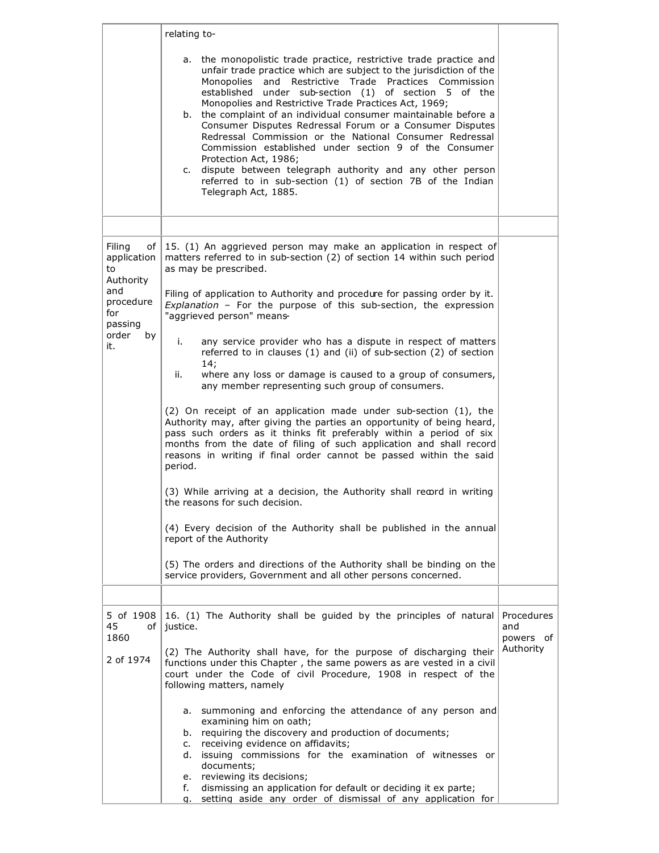|                                                 | relating to-                                                                                                                                                                                                                                                                                                                                                                                                                                                                                                                                                                                                                                                                                                                                           |                                |
|-------------------------------------------------|--------------------------------------------------------------------------------------------------------------------------------------------------------------------------------------------------------------------------------------------------------------------------------------------------------------------------------------------------------------------------------------------------------------------------------------------------------------------------------------------------------------------------------------------------------------------------------------------------------------------------------------------------------------------------------------------------------------------------------------------------------|--------------------------------|
|                                                 | a. the monopolistic trade practice, restrictive trade practice and<br>unfair trade practice which are subject to the jurisdiction of the<br>Monopolies and Restrictive Trade Practices Commission<br>established under sub-section (1) of section 5 of the<br>Monopolies and Restrictive Trade Practices Act, 1969;<br>b. the complaint of an individual consumer maintainable before a<br>Consumer Disputes Redressal Forum or a Consumer Disputes<br>Redressal Commission or the National Consumer Redressal<br>Commission established under section 9 of the Consumer<br>Protection Act, 1986;<br>c. dispute between telegraph authority and any other person<br>referred to in sub-section (1) of section 7B of the Indian<br>Telegraph Act, 1885. |                                |
|                                                 |                                                                                                                                                                                                                                                                                                                                                                                                                                                                                                                                                                                                                                                                                                                                                        |                                |
| Filing<br>application<br>to<br>Authority<br>and | of $\vert$ 15. (1) An aggrieved person may make an application in respect of<br>matters referred to in sub-section (2) of section 14 within such period<br>as may be prescribed.                                                                                                                                                                                                                                                                                                                                                                                                                                                                                                                                                                       |                                |
| procedure<br>for<br>passing                     | Filing of application to Authority and procedure for passing order by it.<br>Explanation - For the purpose of this sub-section, the expression<br>"aggrieved person" means-                                                                                                                                                                                                                                                                                                                                                                                                                                                                                                                                                                            |                                |
| order<br>by<br>it.                              | any service provider who has a dispute in respect of matters<br>i.<br>referred to in clauses (1) and (ii) of sub-section (2) of section<br>14;                                                                                                                                                                                                                                                                                                                                                                                                                                                                                                                                                                                                         |                                |
|                                                 | where any loss or damage is caused to a group of consumers,<br>ii.<br>any member representing such group of consumers.                                                                                                                                                                                                                                                                                                                                                                                                                                                                                                                                                                                                                                 |                                |
|                                                 | (2) On receipt of an application made under sub-section (1), the<br>Authority may, after giving the parties an opportunity of being heard,<br>pass such orders as it thinks fit preferably within a period of six<br>months from the date of filing of such application and shall record<br>reasons in writing if final order cannot be passed within the said<br>period.                                                                                                                                                                                                                                                                                                                                                                              |                                |
|                                                 | (3) While arriving at a decision, the Authority shall record in writing<br>the reasons for such decision.                                                                                                                                                                                                                                                                                                                                                                                                                                                                                                                                                                                                                                              |                                |
|                                                 | (4) Every decision of the Authority shall be published in the annual<br>report of the Authority                                                                                                                                                                                                                                                                                                                                                                                                                                                                                                                                                                                                                                                        |                                |
|                                                 | (5) The orders and directions of the Authority shall be binding on the<br>service providers, Government and all other persons concerned.                                                                                                                                                                                                                                                                                                                                                                                                                                                                                                                                                                                                               |                                |
|                                                 |                                                                                                                                                                                                                                                                                                                                                                                                                                                                                                                                                                                                                                                                                                                                                        |                                |
| 5 of 1908<br>45<br>of<br>1860                   | 16. (1) The Authority shall be guided by the principles of natural<br>justice.                                                                                                                                                                                                                                                                                                                                                                                                                                                                                                                                                                                                                                                                         | Procedures<br>and<br>powers of |
| 2 of 1974                                       | (2) The Authority shall have, for the purpose of discharging their<br>functions under this Chapter, the same powers as are vested in a civil<br>court under the Code of civil Procedure, 1908 in respect of the<br>following matters, namely                                                                                                                                                                                                                                                                                                                                                                                                                                                                                                           | Authority                      |
|                                                 | a. summoning and enforcing the attendance of any person and<br>examining him on oath;<br>b. requiring the discovery and production of documents;<br>receiving evidence on affidavits;<br>$C_{1}$<br>d. issuing commissions for the examination of witnesses or<br>documents;<br>e. reviewing its decisions;<br>dismissing an application for default or deciding it ex parte;<br>f.<br>a. setting aside any order of dismissal of any application for                                                                                                                                                                                                                                                                                                  |                                |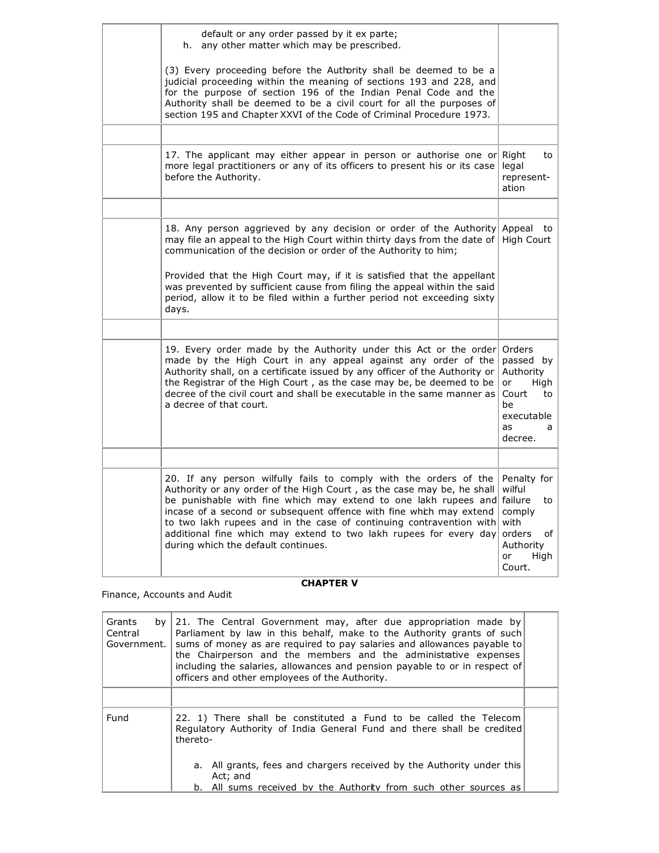| default or any order passed by it ex parte;<br>h. any other matter which may be prescribed.<br>(3) Every proceeding before the Authority shall be deemed to be a<br>judicial proceeding within the meaning of sections 193 and 228, and<br>for the purpose of section 196 of the Indian Penal Code and the<br>Authority shall be deemed to be a civil court for all the purposes of<br>section 195 and Chapter XXVI of the Code of Criminal Procedure 1973.                      |                                                                                                           |
|----------------------------------------------------------------------------------------------------------------------------------------------------------------------------------------------------------------------------------------------------------------------------------------------------------------------------------------------------------------------------------------------------------------------------------------------------------------------------------|-----------------------------------------------------------------------------------------------------------|
| 17. The applicant may either appear in person or authorise one or Right<br>more legal practitioners or any of its officers to present his or its case<br>before the Authority.                                                                                                                                                                                                                                                                                                   | to<br>legal<br>represent-<br>ation                                                                        |
| 18. Any person aggrieved by any decision or order of the Authority<br>may file an appeal to the High Court within thirty days from the date of<br>communication of the decision or order of the Authority to him;<br>Provided that the High Court may, if it is satisfied that the appellant<br>was prevented by sufficient cause from filing the appeal within the said<br>period, allow it to be filed within a further period not exceeding sixty<br>days.                    | Appeal to<br>High Court                                                                                   |
|                                                                                                                                                                                                                                                                                                                                                                                                                                                                                  |                                                                                                           |
| 19. Every order made by the Authority under this Act or the order<br>made by the High Court in any appeal against any order of the<br>Authority shall, on a certificate issued by any officer of the Authority or<br>the Registrar of the High Court, as the case may be, be deemed to be<br>decree of the civil court and shall be executable in the same manner as<br>a decree of that court.                                                                                  | Orders<br>passed by<br>Authority<br>High<br>or<br>Court<br>to<br>be<br>executable<br>as<br>a<br>decree.   |
|                                                                                                                                                                                                                                                                                                                                                                                                                                                                                  |                                                                                                           |
| 20. If any person wilfully fails to comply with the orders of the<br>Authority or any order of the High Court, as the case may be, he shall<br>be punishable with fine which may extend to one lakh rupees and failure<br>incase of a second or subsequent offence with fine which may extend<br>to two lakh rupees and in the case of continuing contravention with<br>additional fine which may extend to two lakh rupees for every day<br>during which the default continues. | Penalty for<br>wilful<br>to<br>comply<br>with<br>orders<br>оf<br>Authority<br><b>or</b><br>High<br>Court. |

# **CHAPTER V**

Finance, Accounts and Audit

| Grants<br>Central<br>Government. | by 21. The Central Government may, after due appropriation made by<br>Parliament by law in this behalf, make to the Authority grants of such<br>sums of money as are required to pay salaries and allowances payable to<br>the Chairperson and the members and the administrative expenses<br>including the salaries, allowances and pension payable to or in respect of<br>officers and other employees of the Authority. |  |
|----------------------------------|----------------------------------------------------------------------------------------------------------------------------------------------------------------------------------------------------------------------------------------------------------------------------------------------------------------------------------------------------------------------------------------------------------------------------|--|
|                                  |                                                                                                                                                                                                                                                                                                                                                                                                                            |  |
| Fund                             | 22. 1) There shall be constituted a Fund to be called the Telecom<br>Regulatory Authority of India General Fund and there shall be credited<br>thereto-                                                                                                                                                                                                                                                                    |  |
|                                  | a. All grants, fees and chargers received by the Authority under this<br>Act; and<br>b. All sums received by the Authority from such other sources as                                                                                                                                                                                                                                                                      |  |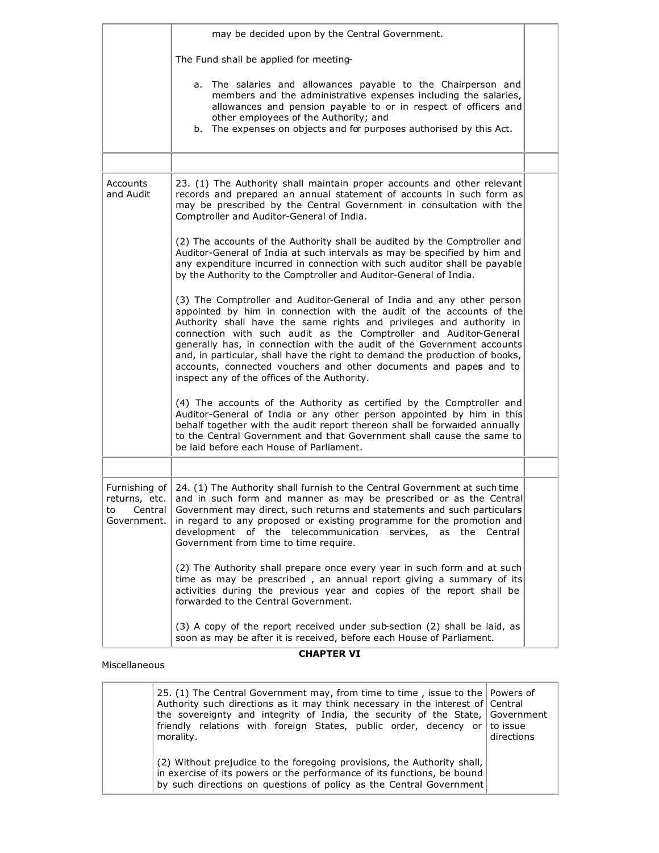|                                                   | may be decided upon by the Central Government.                                                                                                                                                                                                                                                                                                                                                                                                                                                                                                                           |  |  |  |
|---------------------------------------------------|--------------------------------------------------------------------------------------------------------------------------------------------------------------------------------------------------------------------------------------------------------------------------------------------------------------------------------------------------------------------------------------------------------------------------------------------------------------------------------------------------------------------------------------------------------------------------|--|--|--|
|                                                   | The Fund shall be applied for meeting-                                                                                                                                                                                                                                                                                                                                                                                                                                                                                                                                   |  |  |  |
|                                                   | a. The salaries and allowances payable to the Chairperson and<br>members and the administrative expenses including the salaries,<br>allowances and pension payable to or in respect of officers and<br>other employees of the Authority; and<br>b. The expenses on objects and for purposes authorised by this Act.                                                                                                                                                                                                                                                      |  |  |  |
|                                                   |                                                                                                                                                                                                                                                                                                                                                                                                                                                                                                                                                                          |  |  |  |
| Accounts<br>and Audit                             | 23. (1) The Authority shall maintain proper accounts and other relevant<br>records and prepared an annual statement of accounts in such form as<br>may be prescribed by the Central Government in consultation with the<br>Comptroller and Auditor-General of India.                                                                                                                                                                                                                                                                                                     |  |  |  |
|                                                   | (2) The accounts of the Authority shall be audited by the Comptroller and<br>Auditor-General of India at such intervals as may be specified by him and<br>any expenditure incurred in connection with such auditor shall be payable<br>by the Authority to the Comptroller and Auditor-General of India.                                                                                                                                                                                                                                                                 |  |  |  |
|                                                   | (3) The Comptroller and Auditor-General of India and any other person<br>appointed by him in connection with the audit of the accounts of the<br>Authority shall have the same rights and privileges and authority in<br>connection with such audit as the Comptroller and Auditor-General<br>generally has, in connection with the audit of the Government accounts<br>and, in particular, shall have the right to demand the production of books,<br>accounts, connected vouchers and other documents and papes and to<br>inspect any of the offices of the Authority. |  |  |  |
|                                                   | (4) The accounts of the Authority as certified by the Comptroller and<br>Auditor-General of India or any other person appointed by him in this<br>behalf together with the audit report thereon shall be forwarded annually<br>to the Central Government and that Government shall cause the same to<br>be laid before each House of Parliament.                                                                                                                                                                                                                         |  |  |  |
|                                                   |                                                                                                                                                                                                                                                                                                                                                                                                                                                                                                                                                                          |  |  |  |
| returns, etc. $ $<br>Central<br>to<br>Government. | Furnishing of $\vert$ 24. (1) The Authority shall furnish to the Central Government at such time<br>and in such form and manner as may be prescribed or as the Central<br>Government may direct, such returns and statements and such particulars<br>in regard to any proposed or existing programme for the promotion and<br>development of the telecommunication services, as the Central<br>Government from time to time require.                                                                                                                                     |  |  |  |
|                                                   | (2) The Authority shall prepare once every year in such form and at such<br>time as may be prescribed, an annual report giving a summary of its<br>activities during the previous year and copies of the report shall be<br>forwarded to the Central Government.                                                                                                                                                                                                                                                                                                         |  |  |  |
|                                                   | (3) A copy of the report received under sub-section (2) shall be laid, as<br>soon as may be after it is received, before each House of Parliament.                                                                                                                                                                                                                                                                                                                                                                                                                       |  |  |  |
| <b>CHAPTER VI</b>                                 |                                                                                                                                                                                                                                                                                                                                                                                                                                                                                                                                                                          |  |  |  |

#### Miscellaneous

25. (1) The Central Government may, from time to time, issue to the Powers of Authority such directions as it may think necessary in the interest of Central the sovereignty and integrity of India, the security of the State, Government friendly relations with foreign States, public order, decency or to issue morality. directions (2) Without prejudice to the foregoing provisions, the Authority shall, in exercise of its powers or the performance of its functions, be bound by such directions on questions of policy as the Central Government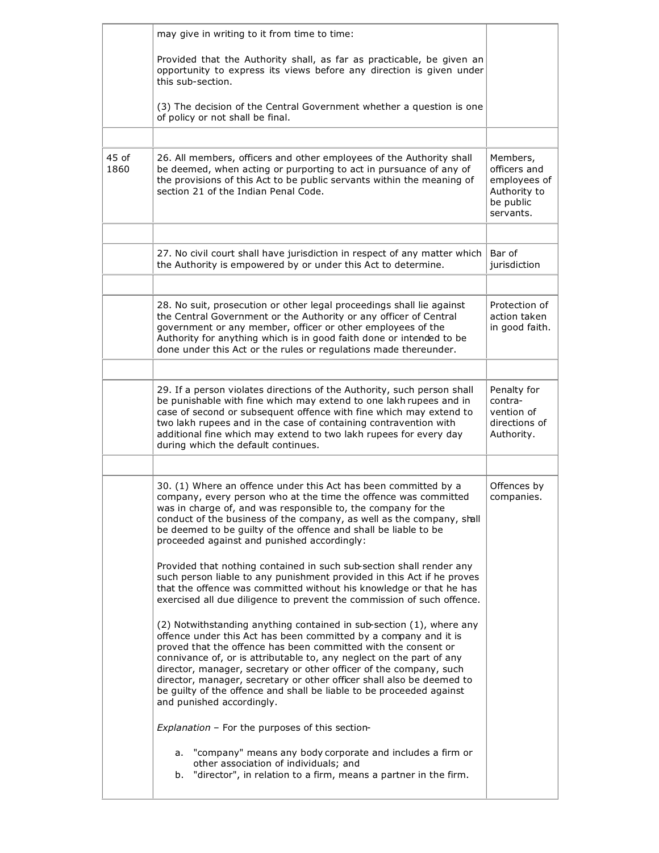|               | may give in writing to it from time to time:                                                                                                                                                                                                                                                                                                                                                                                                                                                                                           |                                                                                    |
|---------------|----------------------------------------------------------------------------------------------------------------------------------------------------------------------------------------------------------------------------------------------------------------------------------------------------------------------------------------------------------------------------------------------------------------------------------------------------------------------------------------------------------------------------------------|------------------------------------------------------------------------------------|
|               | Provided that the Authority shall, as far as practicable, be given an<br>opportunity to express its views before any direction is given under<br>this sub-section.                                                                                                                                                                                                                                                                                                                                                                     |                                                                                    |
|               | (3) The decision of the Central Government whether a question is one<br>of policy or not shall be final.                                                                                                                                                                                                                                                                                                                                                                                                                               |                                                                                    |
|               |                                                                                                                                                                                                                                                                                                                                                                                                                                                                                                                                        |                                                                                    |
| 45 of<br>1860 | 26. All members, officers and other employees of the Authority shall<br>be deemed, when acting or purporting to act in pursuance of any of<br>the provisions of this Act to be public servants within the meaning of<br>section 21 of the Indian Penal Code.                                                                                                                                                                                                                                                                           | Members,<br>officers and<br>employees of<br>Authority to<br>be public<br>servants. |
|               |                                                                                                                                                                                                                                                                                                                                                                                                                                                                                                                                        |                                                                                    |
|               | 27. No civil court shall have jurisdiction in respect of any matter which<br>the Authority is empowered by or under this Act to determine.                                                                                                                                                                                                                                                                                                                                                                                             | Bar of<br>jurisdiction                                                             |
|               |                                                                                                                                                                                                                                                                                                                                                                                                                                                                                                                                        |                                                                                    |
|               | 28. No suit, prosecution or other legal proceedings shall lie against<br>the Central Government or the Authority or any officer of Central<br>government or any member, officer or other employees of the<br>Authority for anything which is in good faith done or intended to be<br>done under this Act or the rules or regulations made thereunder.                                                                                                                                                                                  | Protection of<br>action taken<br>in good faith.                                    |
|               |                                                                                                                                                                                                                                                                                                                                                                                                                                                                                                                                        |                                                                                    |
|               | 29. If a person violates directions of the Authority, such person shall<br>be punishable with fine which may extend to one lakh rupees and in<br>case of second or subsequent offence with fine which may extend to<br>two lakh rupees and in the case of containing contravention with<br>additional fine which may extend to two lakh rupees for every day<br>during which the default continues.                                                                                                                                    | Penalty for<br>contra-<br>vention of<br>directions of<br>Authority.                |
|               |                                                                                                                                                                                                                                                                                                                                                                                                                                                                                                                                        |                                                                                    |
|               | 30. (1) Where an offence under this Act has been committed by a<br>company, every person who at the time the offence was committed<br>was in charge of, and was responsible to, the company for the<br>conduct of the business of the company, as well as the company, shall<br>be deemed to be guilty of the offence and shall be liable to be<br>proceeded against and punished accordingly:                                                                                                                                         | Offences by<br>companies.                                                          |
|               | Provided that nothing contained in such sub-section shall render any<br>such person liable to any punishment provided in this Act if he proves<br>that the offence was committed without his knowledge or that he has<br>exercised all due diligence to prevent the commission of such offence.                                                                                                                                                                                                                                        |                                                                                    |
|               | (2) Notwithstanding anything contained in sub-section (1), where any<br>offence under this Act has been committed by a company and it is<br>proved that the offence has been committed with the consent or<br>connivance of, or is attributable to, any neglect on the part of any<br>director, manager, secretary or other officer of the company, such<br>director, manager, secretary or other officer shall also be deemed to<br>be guilty of the offence and shall be liable to be proceeded against<br>and punished accordingly. |                                                                                    |
|               | Explanation - For the purposes of this section-                                                                                                                                                                                                                                                                                                                                                                                                                                                                                        |                                                                                    |
|               | "company" means any body corporate and includes a firm or<br>a.<br>other association of individuals; and<br>b. "director", in relation to a firm, means a partner in the firm.                                                                                                                                                                                                                                                                                                                                                         |                                                                                    |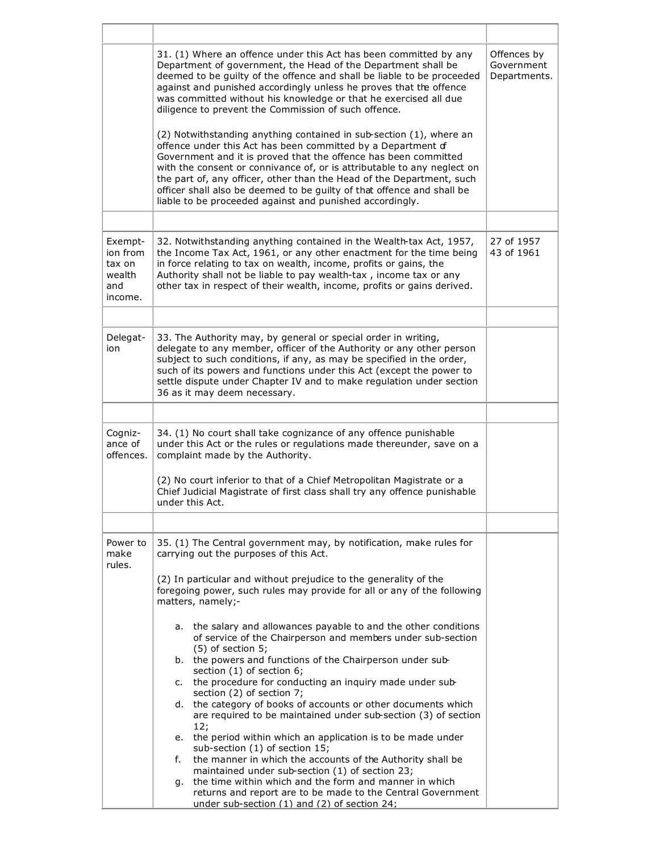|                                                           | 31. (1) Where an offence under this Act has been committed by any<br>Department of government, the Head of the Department shall be<br>deemed to be guilty of the offence and shall be liable to be proceeded<br>against and punished accordingly unless he proves that the offence<br>was committed without his knowledge or that he exercised all due<br>diligence to prevent the Commission of such offence.<br>(2) Notwithstanding anything contained in sub-section (1), where an<br>offence under this Act has been committed by a Department of<br>Government and it is proved that the offence has been committed<br>with the consent or connivance of, or is attributable to any neglect on<br>the part of, any officer, other than the Head of the Department, such<br>officer shall also be deemed to be guilty of that offence and shall be | Offences by<br>Government<br>Departments. |  |
|-----------------------------------------------------------|--------------------------------------------------------------------------------------------------------------------------------------------------------------------------------------------------------------------------------------------------------------------------------------------------------------------------------------------------------------------------------------------------------------------------------------------------------------------------------------------------------------------------------------------------------------------------------------------------------------------------------------------------------------------------------------------------------------------------------------------------------------------------------------------------------------------------------------------------------|-------------------------------------------|--|
|                                                           | liable to be proceeded against and punished accordingly.                                                                                                                                                                                                                                                                                                                                                                                                                                                                                                                                                                                                                                                                                                                                                                                               |                                           |  |
| Exempt-<br>ion from<br>tax on<br>wealth<br>and<br>income. | 32. Notwithstanding anything contained in the Wealth-tax Act, 1957,<br>the Income Tax Act, 1961, or any other enactment for the time being<br>in force relating to tax on wealth, income, profits or gains, the<br>Authority shall not be liable to pay wealth-tax, income tax or any<br>other tax in respect of their wealth, income, profits or gains derived.                                                                                                                                                                                                                                                                                                                                                                                                                                                                                       | 27 of 1957<br>43 of 1961                  |  |
|                                                           |                                                                                                                                                                                                                                                                                                                                                                                                                                                                                                                                                                                                                                                                                                                                                                                                                                                        |                                           |  |
| Delegat-<br>ion                                           | 33. The Authority may, by general or special order in writing,<br>delegate to any member, officer of the Authority or any other person<br>subject to such conditions, if any, as may be specified in the order,<br>such of its powers and functions under this Act (except the power to<br>settle dispute under Chapter IV and to make regulation under section<br>36 as it may deem necessary.                                                                                                                                                                                                                                                                                                                                                                                                                                                        |                                           |  |
|                                                           |                                                                                                                                                                                                                                                                                                                                                                                                                                                                                                                                                                                                                                                                                                                                                                                                                                                        |                                           |  |
| Cogniz-<br>ance of<br>offences.                           | 34. (1) No court shall take cognizance of any offence punishable<br>under this Act or the rules or regulations made thereunder, save on a<br>complaint made by the Authority.<br>(2) No court inferior to that of a Chief Metropolitan Magistrate or a<br>Chief Judicial Magistrate of first class shall try any offence punishable                                                                                                                                                                                                                                                                                                                                                                                                                                                                                                                    |                                           |  |
|                                                           | under this Act.                                                                                                                                                                                                                                                                                                                                                                                                                                                                                                                                                                                                                                                                                                                                                                                                                                        |                                           |  |
|                                                           |                                                                                                                                                                                                                                                                                                                                                                                                                                                                                                                                                                                                                                                                                                                                                                                                                                                        |                                           |  |
| Power to<br>make<br>rules.                                | 35. (1) The Central government may, by notification, make rules for<br>carrying out the purposes of this Act.                                                                                                                                                                                                                                                                                                                                                                                                                                                                                                                                                                                                                                                                                                                                          |                                           |  |
|                                                           | (2) In particular and without prejudice to the generality of the<br>foregoing power, such rules may provide for all or any of the following<br>matters, namely;-                                                                                                                                                                                                                                                                                                                                                                                                                                                                                                                                                                                                                                                                                       |                                           |  |
|                                                           | a. the salary and allowances payable to and the other conditions<br>of service of the Chairperson and members under sub-section<br>$(5)$ of section 5:                                                                                                                                                                                                                                                                                                                                                                                                                                                                                                                                                                                                                                                                                                 |                                           |  |
|                                                           | b. the powers and functions of the Chairperson under sub-<br>section (1) of section 6;                                                                                                                                                                                                                                                                                                                                                                                                                                                                                                                                                                                                                                                                                                                                                                 |                                           |  |
|                                                           | c. the procedure for conducting an inquiry made under sub-<br>section (2) of section 7;                                                                                                                                                                                                                                                                                                                                                                                                                                                                                                                                                                                                                                                                                                                                                                |                                           |  |
|                                                           | d. the category of books of accounts or other documents which<br>are required to be maintained under sub-section (3) of section                                                                                                                                                                                                                                                                                                                                                                                                                                                                                                                                                                                                                                                                                                                        |                                           |  |
|                                                           | 12:<br>e. the period within which an application is to be made under                                                                                                                                                                                                                                                                                                                                                                                                                                                                                                                                                                                                                                                                                                                                                                                   |                                           |  |
|                                                           | sub-section (1) of section 15;<br>the manner in which the accounts of the Authority shall be<br>f.                                                                                                                                                                                                                                                                                                                                                                                                                                                                                                                                                                                                                                                                                                                                                     |                                           |  |
|                                                           | maintained under sub-section (1) of section 23;<br>g. the time within which and the form and manner in which<br>returns and report are to be made to the Central Government<br>under sub-section (1) and (2) of section 24;                                                                                                                                                                                                                                                                                                                                                                                                                                                                                                                                                                                                                            |                                           |  |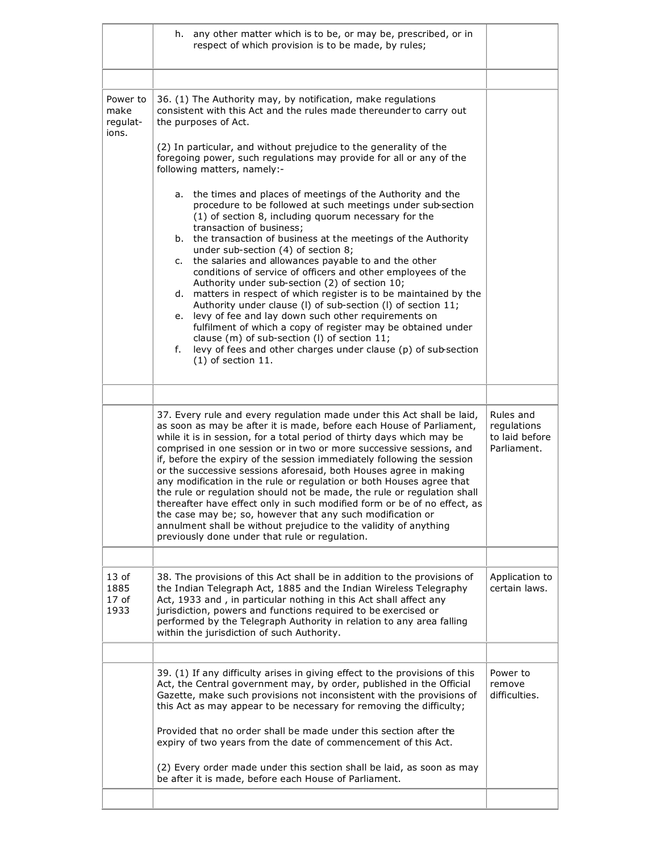|                                             | h. any other matter which is to be, or may be, prescribed, or in<br>respect of which provision is to be made, by rules;                                                                                                                                                                                                                                                                                                                                                                                                                                                                                                                                                                                                                                                                                                                                           |                                                           |
|---------------------------------------------|-------------------------------------------------------------------------------------------------------------------------------------------------------------------------------------------------------------------------------------------------------------------------------------------------------------------------------------------------------------------------------------------------------------------------------------------------------------------------------------------------------------------------------------------------------------------------------------------------------------------------------------------------------------------------------------------------------------------------------------------------------------------------------------------------------------------------------------------------------------------|-----------------------------------------------------------|
|                                             |                                                                                                                                                                                                                                                                                                                                                                                                                                                                                                                                                                                                                                                                                                                                                                                                                                                                   |                                                           |
| Power to<br>make<br>regulat-<br>ions.       | 36. (1) The Authority may, by notification, make regulations<br>consistent with this Act and the rules made thereunder to carry out<br>the purposes of Act.                                                                                                                                                                                                                                                                                                                                                                                                                                                                                                                                                                                                                                                                                                       |                                                           |
|                                             | (2) In particular, and without prejudice to the generality of the<br>foregoing power, such regulations may provide for all or any of the<br>following matters, namely:-                                                                                                                                                                                                                                                                                                                                                                                                                                                                                                                                                                                                                                                                                           |                                                           |
|                                             | a. the times and places of meetings of the Authority and the<br>procedure to be followed at such meetings under sub-section<br>(1) of section 8, including quorum necessary for the<br>transaction of business;<br>b. the transaction of business at the meetings of the Authority<br>under sub-section (4) of section 8;<br>c. the salaries and allowances payable to and the other<br>conditions of service of officers and other employees of the                                                                                                                                                                                                                                                                                                                                                                                                              |                                                           |
|                                             | Authority under sub-section (2) of section 10;<br>d. matters in respect of which register is to be maintained by the<br>Authority under clause (I) of sub-section (I) of section 11;<br>levy of fee and lay down such other requirements on<br>e.<br>fulfilment of which a copy of register may be obtained under<br>clause (m) of sub-section (l) of section 11;<br>levy of fees and other charges under clause (p) of sub-section<br>f.<br>$(1)$ of section 11.                                                                                                                                                                                                                                                                                                                                                                                                 |                                                           |
|                                             |                                                                                                                                                                                                                                                                                                                                                                                                                                                                                                                                                                                                                                                                                                                                                                                                                                                                   |                                                           |
|                                             | 37. Every rule and every regulation made under this Act shall be laid,<br>as soon as may be after it is made, before each House of Parliament,<br>while it is in session, for a total period of thirty days which may be<br>comprised in one session or in two or more successive sessions, and<br>if, before the expiry of the session immediately following the session<br>or the successive sessions aforesaid, both Houses agree in making<br>any modification in the rule or regulation or both Houses agree that<br>the rule or regulation should not be made, the rule or regulation shall<br>thereafter have effect only in such modified form or be of no effect, as<br>the case may be; so, however that any such modification or<br>annulment shall be without prejudice to the validity of anything<br>previously done under that rule or regulation. | Rules and<br>regulations<br>to laid before<br>Parliament. |
|                                             |                                                                                                                                                                                                                                                                                                                                                                                                                                                                                                                                                                                                                                                                                                                                                                                                                                                                   |                                                           |
| $13$ of<br>1885<br>17 <sub>of</sub><br>1933 | 38. The provisions of this Act shall be in addition to the provisions of<br>the Indian Telegraph Act, 1885 and the Indian Wireless Telegraphy<br>Act, 1933 and, in particular nothing in this Act shall affect any<br>jurisdiction, powers and functions required to be exercised or<br>performed by the Telegraph Authority in relation to any area falling<br>within the jurisdiction of such Authority.                                                                                                                                                                                                                                                                                                                                                                                                                                                        | Application to<br>certain laws.                           |
|                                             |                                                                                                                                                                                                                                                                                                                                                                                                                                                                                                                                                                                                                                                                                                                                                                                                                                                                   |                                                           |
|                                             | 39. (1) If any difficulty arises in giving effect to the provisions of this<br>Act, the Central government may, by order, published in the Official<br>Gazette, make such provisions not inconsistent with the provisions of<br>this Act as may appear to be necessary for removing the difficulty;                                                                                                                                                                                                                                                                                                                                                                                                                                                                                                                                                               | Power to<br>remove<br>difficulties.                       |
|                                             | Provided that no order shall be made under this section after the<br>expiry of two years from the date of commencement of this Act.                                                                                                                                                                                                                                                                                                                                                                                                                                                                                                                                                                                                                                                                                                                               |                                                           |
|                                             | (2) Every order made under this section shall be laid, as soon as may<br>be after it is made, before each House of Parliament.                                                                                                                                                                                                                                                                                                                                                                                                                                                                                                                                                                                                                                                                                                                                    |                                                           |
|                                             |                                                                                                                                                                                                                                                                                                                                                                                                                                                                                                                                                                                                                                                                                                                                                                                                                                                                   |                                                           |